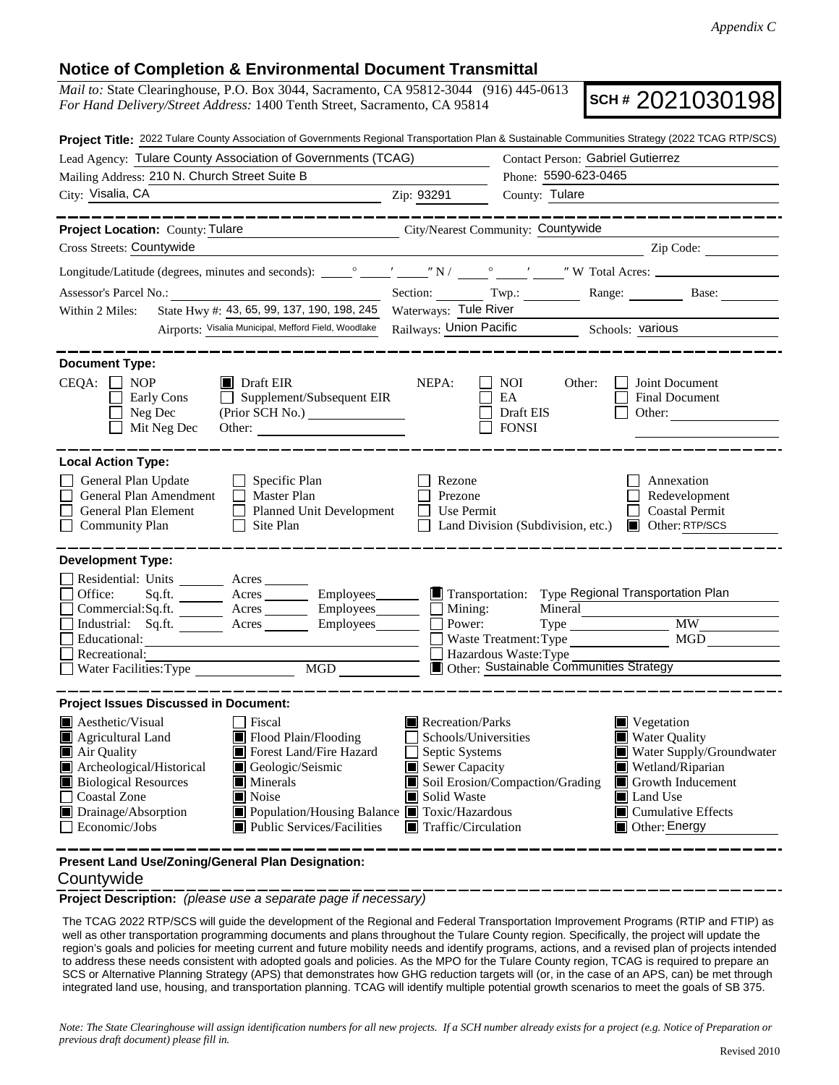## **Notice of Completion & Environmental Document Transmittal**

*Mail to:* State Clearinghouse, P.O. Box 3044, Sacramento, CA 95812-3044 (916) 445-0613 *For Hand Delivery/Street Address:* 1400 Tenth Street, Sacramento, CA 95814

**SCH #** 2021030198

|                                                                                                                                                                                                              | Project Title: 2022 Tulare County Association of Governments Regional Transportation Plan & Sustainable Communities Strategy (2022 TCAG RTP/SCS)                                                                          |                                                                                                                                                                      |                                   |                                                                             |                                                                                                                                                                                          |
|--------------------------------------------------------------------------------------------------------------------------------------------------------------------------------------------------------------|---------------------------------------------------------------------------------------------------------------------------------------------------------------------------------------------------------------------------|----------------------------------------------------------------------------------------------------------------------------------------------------------------------|-----------------------------------|-----------------------------------------------------------------------------|------------------------------------------------------------------------------------------------------------------------------------------------------------------------------------------|
|                                                                                                                                                                                                              | Lead Agency: Tulare County Association of Governments (TCAG)                                                                                                                                                              |                                                                                                                                                                      | Contact Person: Gabriel Gutierrez |                                                                             |                                                                                                                                                                                          |
| Mailing Address: 210 N. Church Street Suite B                                                                                                                                                                |                                                                                                                                                                                                                           | Phone: 5590-623-0465                                                                                                                                                 |                                   |                                                                             |                                                                                                                                                                                          |
| City: Visalia, CA                                                                                                                                                                                            | Zip: 93291                                                                                                                                                                                                                | County: Tulare                                                                                                                                                       |                                   |                                                                             |                                                                                                                                                                                          |
|                                                                                                                                                                                                              | <u> 1990 - Jan Barnett, fransk politik (d. 19</u>                                                                                                                                                                         |                                                                                                                                                                      |                                   |                                                                             |                                                                                                                                                                                          |
| Project Location: County: Tulare                                                                                                                                                                             | City/Nearest Community: Countywide                                                                                                                                                                                        |                                                                                                                                                                      |                                   |                                                                             |                                                                                                                                                                                          |
| Cross Streets: Countywide                                                                                                                                                                                    |                                                                                                                                                                                                                           |                                                                                                                                                                      |                                   |                                                                             | $\sum$ $\sum$ ip Code:                                                                                                                                                                   |
|                                                                                                                                                                                                              |                                                                                                                                                                                                                           |                                                                                                                                                                      |                                   |                                                                             |                                                                                                                                                                                          |
| Assessor's Parcel No.:<br><u> 1989 - Johann Barbara, martxa alemani</u> ar                                                                                                                                   | Section: Twp.:                                                                                                                                                                                                            |                                                                                                                                                                      |                                   | Range: Base:                                                                |                                                                                                                                                                                          |
| State Hwy #: 43, 65, 99, 137, 190, 198, 245<br>Within 2 Miles:                                                                                                                                               | Waterways: Tule River                                                                                                                                                                                                     |                                                                                                                                                                      |                                   |                                                                             |                                                                                                                                                                                          |
|                                                                                                                                                                                                              | Airports: Visalia Municipal, Mefford Field, Woodlake                                                                                                                                                                      | Railways: Union Pacific Schools: various                                                                                                                             |                                   |                                                                             |                                                                                                                                                                                          |
| <b>Document Type:</b><br>$CEQA: \Box NP$<br>Early Cons<br>Neg Dec                                                                                                                                            | $\blacksquare$ Draft EIR<br>Supplement/Subsequent EIR<br>$\Box$                                                                                                                                                           | NEPA:                                                                                                                                                                | <b>NOI</b><br>EA<br>Draft EIS     | Other:                                                                      | Joint Document<br><b>Final Document</b><br>Other: $\frac{1}{\sqrt{1-\frac{1}{2}}\cdot\frac{1}{\sqrt{1-\frac{1}{2}}}}$                                                                    |
| Mit Neg Dec                                                                                                                                                                                                  |                                                                                                                                                                                                                           |                                                                                                                                                                      | <b>FONSI</b>                      |                                                                             |                                                                                                                                                                                          |
| <b>Local Action Type:</b><br>General Plan Update<br>General Plan Amendment<br>General Plan Element<br><b>Community Plan</b>                                                                                  | $\Box$ Specific Plan<br>$\Box$ Master Plan<br><b>Planned Unit Development</b><br>Site Plan<br>$\mathbf{L}$                                                                                                                | Rezone<br>Prezone<br>Use Permit                                                                                                                                      |                                   | Land Division (Subdivision, etc.)                                           | Annexation<br>Redevelopment<br><b>Coastal Permit</b><br>■ Other: RTP/SCS                                                                                                                 |
| <b>Development Type:</b>                                                                                                                                                                                     |                                                                                                                                                                                                                           |                                                                                                                                                                      |                                   |                                                                             |                                                                                                                                                                                          |
| Residential: Units ________ Acres _______<br>Office:<br>Industrial: Sq.ft.<br>Educational:<br>Recreational:<br>Water Facilities: Type                                                                        | Sq.ft. ________ Acres __________ Employees________<br>Commercial:Sq.ft. ________ Acres _________ Employees________ $\Box$<br>Acres<br>$Employes$ $\Box$<br>MGD                                                            | $\blacksquare$ Transportation:<br>Mining:<br>Power:                                                                                                                  | Hazardous Waste: Type             | Mineral<br>Waste Treatment: Type<br>Other: Sustainable Communities Strategy | Type Regional Transportation Plan<br><b>MW</b><br>MGD                                                                                                                                    |
| <b>Project Issues Discussed in Document:</b>                                                                                                                                                                 |                                                                                                                                                                                                                           |                                                                                                                                                                      |                                   |                                                                             |                                                                                                                                                                                          |
| $\blacksquare$ Aesthetic/Visual<br>$\blacksquare$ Agricultural Land<br>Air Quality<br>Archeological/Historical<br><b>Biological Resources</b><br><b>Coastal Zone</b><br>Drainage/Absorption<br>Economic/Jobs | <b>T</b> Fiscal<br>Flood Plain/Flooding<br>Forest Land/Fire Hazard<br>Geologic/Seismic<br>$\blacksquare$ Minerals<br>$\blacksquare$ Noise<br>■ Population/Housing Balance ■ Toxic/Hazardous<br>Public Services/Facilities | Recreation/Parks<br>Schools/Universities<br>Septic Systems<br>Sewer Capacity<br>Soil Erosion/Compaction/Grading<br>Solid Waste<br>$\blacksquare$ Traffic/Circulation |                                   |                                                                             | Vegetation<br><b>Water Quality</b><br>Water Supply/Groundwater<br>Wetland/Riparian<br>$\blacksquare$ Growth Inducement<br>Land Use<br>$\blacksquare$ Cumulative Effects<br>Other: Energy |
| Present Land Use/Zoning/General Plan Designation:                                                                                                                                                            |                                                                                                                                                                                                                           |                                                                                                                                                                      |                                   |                                                                             |                                                                                                                                                                                          |

## **Countywide**

**Project Description:** *(please use a separate page if necessary)*

The TCAG 2022 RTP/SCS will guide the development of the Regional and Federal Transportation Improvement Programs (RTIP and FTIP) as well as other transportation programming documents and plans throughout the Tulare County region. Specifically, the project will update the region's goals and policies for meeting current and future mobility needs and identify programs, actions, and a revised plan of projects intended to address these needs consistent with adopted goals and policies. As the MPO for the Tulare County region, TCAG is required to prepare an SCS or Alternative Planning Strategy (APS) that demonstrates how GHG reduction targets will (or, in the case of an APS, can) be met through integrated land use, housing, and transportation planning. TCAG will identify multiple potential growth scenarios to meet the goals of SB 375.

*Note: The State Clearinghouse will assign identification numbers for all new projects. If a SCH number already exists for a project (e.g. Notice of Preparation or previous draft document) please fill in.*